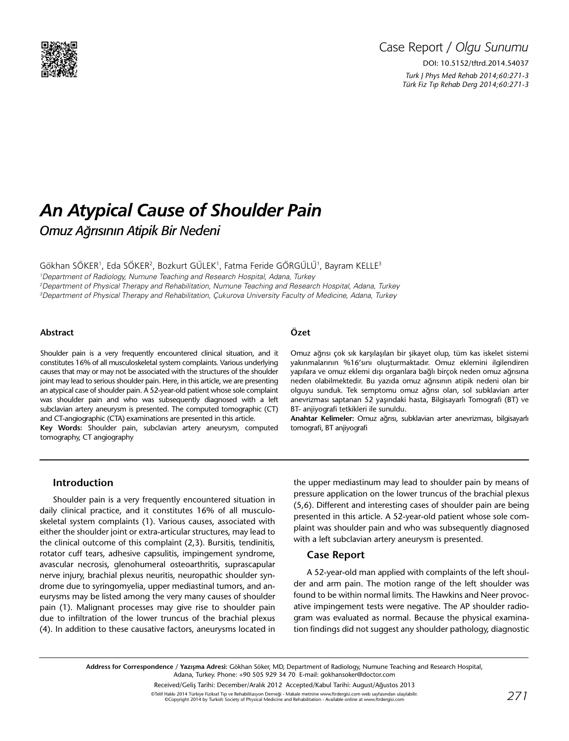

## Case Report / *Olgu Sunumu* DOI: 10.5152/tftrd.2014.54037

*Turk J Phys Med Rehab 2014;60:271-3 Türk Fiz T›p Rehab Derg 2014;60:271-3*

# *An Atypical Cause of Shoulder Pain Omuz Ağrısının Atipik Bir Nedeni*

Gökhan SÖKER<sup>1</sup>, Eda SÖKER<sup>2</sup>, Bozkurt GÜLEK<sup>1</sup>, Fatma Feride GÖRGÜLÜ<sup>1</sup>, Bayram KELLE<sup>3</sup>

1 Department of Radiology, Numune Teaching and Research Hospital, Adana, Turkey

2 Department of Physical Therapy and Rehabilitation, Numune Teaching and Research Hospital, Adana, Turkey 3 Department of Physical Therapy and Rehabilitation, Çukurova University Faculty of Medicine, Adana, Turkey

#### **Abstract**

Shoulder pain is a very frequently encountered clinical situation, and it constitutes 16% of all musculoskeletal system complaints. Various underlying causes that may or may not be associated with the structures of the shoulder joint may lead to serious shoulder pain. Here, in this article, we are presenting an atypical case of shoulder pain. A 52-year-old patient whose sole complaint was shoulder pain and who was subsequently diagnosed with a left subclavian artery aneurysm is presented. The computed tomographic (CT) and CT-angiographic (CTA) examinations are presented in this article.

**Key Words:** Shoulder pain, subclavian artery aneurysm, computed tomography, CT angiography

#### **Özet**

Omuz ağrısı çok sık karşılaşılan bir şikayet olup, tüm kas iskelet sistemi yakınmalarının %16'sını oluşturmaktadır. Omuz eklemini ilgilendiren yapılara ve omuz eklemi dışı organlara bağlı birçok neden omuz ağrısına neden olabilmektedir. Bu yazıda omuz ağrısının atipik nedeni olan bir olguyu sunduk. Tek semptomu omuz ağrısı olan, sol subklavian arter anevrizması saptanan 52 yaşındaki hasta, Bilgisayarlı Tomografi (BT) ve BT- anjiyografi tetkikleri ile sunuldu.

**Anahtar Kelimeler:** Omuz ağrısı, subklavian arter anevrizması, bilgisayarlı tomografi, BT anjiyografi

#### **Introduction**

Shoulder pain is a very frequently encountered situation in daily clinical practice, and it constitutes 16% of all musculoskeletal system complaints (1). Various causes, associated with either the shoulder joint or extra-articular structures, may lead to the clinical outcome of this complaint (2,3). Bursitis, tendinitis, rotator cuff tears, adhesive capsulitis, impingement syndrome, avascular necrosis, glenohumeral osteoarthritis, suprascapular nerve injury, brachial plexus neuritis, neuropathic shoulder syndrome due to syringomyelia, upper mediastinal tumors, and aneurysms may be listed among the very many causes of shoulder pain (1). Malignant processes may give rise to shoulder pain due to infiltration of the lower truncus of the brachial plexus (4). In addition to these causative factors, aneurysms located in

the upper mediastinum may lead to shoulder pain by means of pressure application on the lower truncus of the brachial plexus (5,6). Different and interesting cases of shoulder pain are being presented in this article. A 52-year-old patient whose sole complaint was shoulder pain and who was subsequently diagnosed with a left subclavian artery aneurysm is presented.

#### **Case Report**

A 52-year-old man applied with complaints of the left shoulder and arm pain. The motion range of the left shoulder was found to be within normal limits. The Hawkins and Neer provocative impingement tests were negative. The AP shoulder radiogram was evaluated as normal. Because the physical examination findings did not suggest any shoulder pathology, diagnostic

**Address for Correspondence / Yazışma Adresi:** Gökhan Söker, MD, Department of Radiology, Numune Teaching and Research Hospital, Adana, Turkey. Phone: +90 505 929 34 70 E-mail: gokhansoker@doctor.com

> Received/Geliş Tarihi: December/Aralık 2012 Accepted/Kabul Tarihi: August/Ağustos 2013 ©Telif Hakkı 2014 Türkiye Fiziksel Tıp ve Rehabilitasyon Derneği - Makale metnine www.ftrdergisi.com web sayfasından ulaşılabilir. ©Copyright 2014 by Turkish Society of Physical Medicine and Rehabilitation - Available online at www.ftrdergisi.com *271*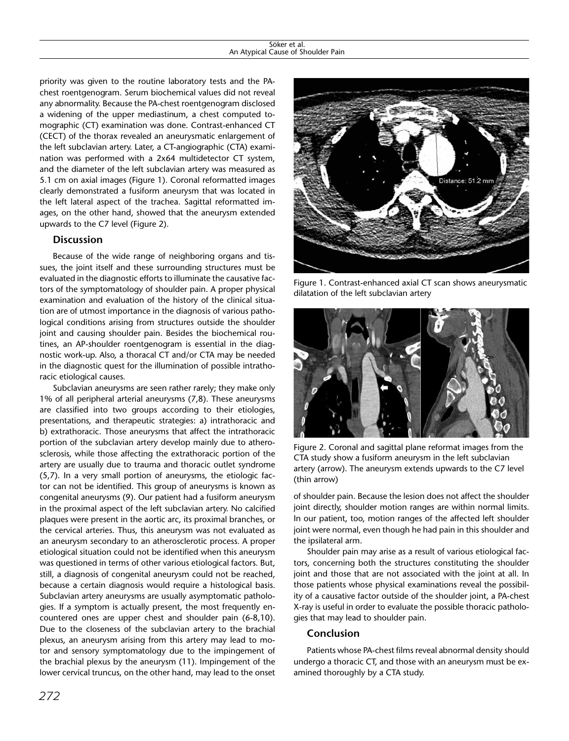#### Söker et al. An Atypical Cause of Shoulder Pain

priority was given to the routine laboratory tests and the PAchest roentgenogram. Serum biochemical values did not reveal any abnormality. Because the PA-chest roentgenogram disclosed a widening of the upper mediastinum, a chest computed tomographic (CT) examination was done. Contrast-enhanced CT (CECT) of the thorax revealed an aneurysmatic enlargement of the left subclavian artery. Later, a CT-angiographic (CTA) examination was performed with a 2x64 multidetector CT system, and the diameter of the left subclavian artery was measured as 5.1 cm on axial images (Figure 1). Coronal reformatted images clearly demonstrated a fusiform aneurysm that was located in the left lateral aspect of the trachea. Sagittal reformatted images, on the other hand, showed that the aneurysm extended upwards to the C7 level (Figure 2).

#### **Discussion**

Because of the wide range of neighboring organs and tissues, the joint itself and these surrounding structures must be evaluated in the diagnostic efforts to illuminate the causative factors of the symptomatology of shoulder pain. A proper physical examination and evaluation of the history of the clinical situation are of utmost importance in the diagnosis of various pathological conditions arising from structures outside the shoulder joint and causing shoulder pain. Besides the biochemical routines, an AP-shoulder roentgenogram is essential in the diagnostic work-up. Also, a thoracal CT and/or CTA may be needed in the diagnostic quest for the illumination of possible intrathoracic etiological causes.

Subclavian aneurysms are seen rather rarely; they make only 1% of all peripheral arterial aneurysms (7,8). These aneurysms are classified into two groups according to their etiologies, presentations, and therapeutic strategies: a) intrathoracic and b) extrathoracic. Those aneurysms that affect the intrathoracic portion of the subclavian artery develop mainly due to atherosclerosis, while those affecting the extrathoracic portion of the artery are usually due to trauma and thoracic outlet syndrome (5,7). In a very small portion of aneurysms, the etiologic factor can not be identified. This group of aneurysms is known as congenital aneurysms (9). Our patient had a fusiform aneurysm in the proximal aspect of the left subclavian artery. No calcified plaques were present in the aortic arc, its proximal branches, or the cervical arteries. Thus, this aneurysm was not evaluated as an aneurysm secondary to an atherosclerotic process. A proper etiological situation could not be identified when this aneurysm was questioned in terms of other various etiological factors. But, still, a diagnosis of congenital aneurysm could not be reached, because a certain diagnosis would require a histological basis. Subclavian artery aneurysms are usually asymptomatic pathologies. If a symptom is actually present, the most frequently encountered ones are upper chest and shoulder pain (6-8,10). Due to the closeness of the subclavian artery to the brachial plexus, an aneurysm arising from this artery may lead to motor and sensory symptomatology due to the impingement of the brachial plexus by the aneurysm (11). Impingement of the lower cervical truncus, on the other hand, may lead to the onset



Figure 1. Contrast-enhanced axial CT scan shows aneurysmatic dilatation of the left subclavian artery



Figure 2. Coronal and sagittal plane reformat images from the CTA study show a fusiform aneurysm in the left subclavian artery (arrow). The aneurysm extends upwards to the C7 level (thin arrow)

of shoulder pain. Because the lesion does not affect the shoulder joint directly, shoulder motion ranges are within normal limits. In our patient, too, motion ranges of the affected left shoulder joint were normal, even though he had pain in this shoulder and the ipsilateral arm.

Shoulder pain may arise as a result of various etiological factors, concerning both the structures constituting the shoulder joint and those that are not associated with the joint at all. In those patients whose physical examinations reveal the possibility of a causative factor outside of the shoulder joint, a PA-chest X-ray is useful in order to evaluate the possible thoracic pathologies that may lead to shoulder pain.

#### **Conclusion**

Patients whose PA-chest films reveal abnormal density should undergo a thoracic CT, and those with an aneurysm must be examined thoroughly by a CTA study.